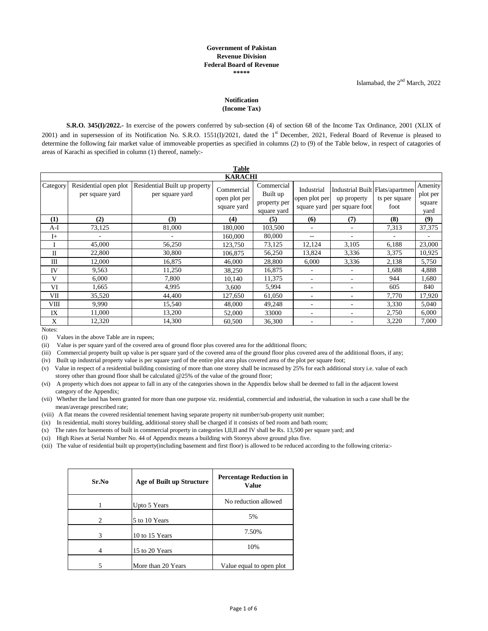## **Government of Pakistan Revenue Division Federal Board of Revenue \*\*\*\*\***

## **Notification (Income Tax)**

**S.R.O. 345(I)/2022.-** In exercise of the powers conferred by sub-section (4) of section 68 of the Income Tax Ordinance, 2001 (XLIX of 2001) and in supersession of its Notification No. S.R.O. 1551(I)/2021, dated the  $1<sup>st</sup>$  December, 2021, Federal Board of Revenue is pleased to determine the following fair market value of immoveable properties as specified in columns (2) to (9) of the Table below, in respect of catagories of areas of Karachi as specified in column (1) thereof, namely:-

|              | <b>Table</b>                             |                                                  |                                            |                                                       |                                            |                                                                   |                       |                                       |  |
|--------------|------------------------------------------|--------------------------------------------------|--------------------------------------------|-------------------------------------------------------|--------------------------------------------|-------------------------------------------------------------------|-----------------------|---------------------------------------|--|
|              | <b>KARACHI</b>                           |                                                  |                                            |                                                       |                                            |                                                                   |                       |                                       |  |
| Category     | Residential open plot<br>per square yard | Residential Built up property<br>per square yard | Commercial<br>open plot per<br>square yard | Commercial<br>Built up<br>property per<br>square yard | Industrial<br>open plot per<br>square yard | Industrial Built Flats/apartmen<br>up property<br>per square foot | ts per square<br>foot | Amenity<br>plot per<br>square<br>yard |  |
| (1)          | (2)                                      | (3)                                              | (4)                                        | (5)                                                   | (6)                                        | (7)                                                               | (8)                   | (9)                                   |  |
| A-I          | 73,125                                   | 81,000                                           | 180,000                                    | 103,500                                               |                                            | ۰                                                                 | 7,313                 | 37,375                                |  |
| $I+$         |                                          |                                                  | 160,000                                    | 80,000                                                | $- -$                                      | ۰                                                                 |                       |                                       |  |
| I            | 45,000                                   | 56,250                                           | 123,750                                    | 73,125                                                | 12,124                                     | 3,105                                                             | 6,188                 | 23,000                                |  |
| $\mathbf{I}$ | 22,800                                   | 30,800                                           | 106,875                                    | 56,250                                                | 13,824                                     | 3,336                                                             | 3,375                 | 10,925                                |  |
| Ш            | 12,000                                   | 16,875                                           | 46,000                                     | 28,800                                                | 6,000                                      | 3,336                                                             | 2,138                 | 5,750                                 |  |
| IV           | 9,563                                    | 11,250                                           | 38,250                                     | 16,875                                                | $\overline{\phantom{a}}$                   | ٠                                                                 | 1,688                 | 4,888                                 |  |
| V            | 6,000                                    | 7.800                                            | 10,140                                     | 11,375                                                | ٠                                          | ۰                                                                 | 944                   | 1,680                                 |  |
| VI           | 1,665                                    | 4,995                                            | 3.600                                      | 5,994                                                 | ٠                                          | ۰                                                                 | 605                   | 840                                   |  |
| VII          | 35,520                                   | 44,400                                           | 127,650                                    | 61.050                                                | ٠                                          | ۰                                                                 | 7.770                 | 17,920                                |  |
| VIII         | 9,990                                    | 15,540                                           | 48,000                                     | 49,248                                                | ٠                                          | ٠                                                                 | 3,330                 | 5,040                                 |  |
| IX           | 11,000                                   | 13,200                                           | 52,000                                     | 33000                                                 | ٠                                          | ۰                                                                 | 2,750                 | 6,000                                 |  |
| X            | 12,320                                   | 14,300                                           | 60,500                                     | 36,300                                                | ٠                                          | ۰                                                                 | 3,220                 | 7,000                                 |  |

Notes:

(i) Values in the above Table are in rupees;

(ii) Value is per square yard of the covered area of ground floor plus covered area for the additional floors;

(iii) Commercial property built up value is per square yard of the covered area of the ground floor plus covered area of the additional floors, if any;

(iv) Built up industrial property value is per square yard of the entire plot area plus covered area of the plot per square foot;

(v) Value in respect of a residential building consisting of more than one storey shall be increased by 25% for each additional story i.e. value of each storey other than ground floor shall be calculated @25% of the value of the ground floor;

(vi) A property which does not appear to fall in any of the categories shown in the Appendix below shall be deemed to fall in the adjacent lowest category of the Appendix;

(vii) Whether the land has been granted for more than one purpose viz. residential, commercial and industrial, the valuation in such a case shall be the mean/average prescribed rate;

(viii) A flat means the covered residential tenement having separate property nit number/sub-property unit number;

(ix) In residential, multi storey building, additional storey shall be charged if it consists of bed room and bath room;

(x) The rates for basements of built in commercial property in categories I,II,II and IV shall be Rs. 13,500 per square yard; and

(xi) High Rises at Serial Number No. 44 of Appendix means a building with Storeys above ground plus five.

(xii) The value of residential built up property(including basement and first floor) is allowed to be reduced according to the following criteria:-

| Sr.No          | Age of Built up Structure | <b>Percentage Reduction in</b><br><b>Value</b> |
|----------------|---------------------------|------------------------------------------------|
|                | Upto 5 Years              | No reduction allowed                           |
| $\overline{c}$ | 5 to 10 Years             | 5%                                             |
| 3              | 10 to 15 Years            | 7.50%                                          |
| 4              | 15 to 20 Years            | 10%                                            |
| 5              | More than 20 Years        | Value equal to open plot                       |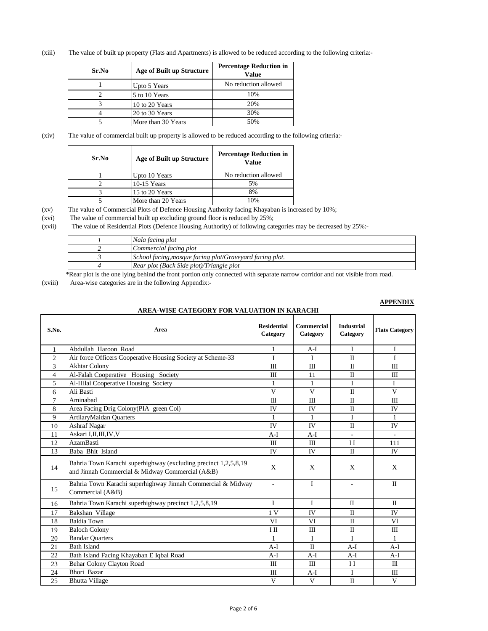(xiii) The value of built up property (Flats and Apartments) is allowed to be reduced according to the following criteria:-

| Sr.No | Age of Built up Structure | <b>Percentage Reduction in</b><br>Value |
|-------|---------------------------|-----------------------------------------|
|       | Upto 5 Years              | No reduction allowed                    |
|       | 5 to 10 Years             | 10%                                     |
|       | 10 to 20 Years            | 20%                                     |
|       | 20 to 30 Years            | 30%                                     |
|       | More than 30 Years        | 50%                                     |

(xiv) The value of commercial built up property is allowed to be reduced according to the following criteria:-

| Sr.No | Age of Built up Structure | <b>Percentage Reduction in</b><br>Value |
|-------|---------------------------|-----------------------------------------|
|       | Upto 10 Years             | No reduction allowed                    |
|       | $10-15$ Years             | 5%                                      |
|       | 15 to 20 Years            | 8%                                      |
|       | More than 20 Years        | 10%                                     |

(xv) The value of Commercial Plots of Defence Housing Authority facing Khayaban is increased by 10%;

(xvi) The value of commercial built up excluding ground floor is reduced by 25%;

(xvii) The value of Residential Plots (Defence Housing Authority) of following categories may be decreased by 25%:-

|                                                                                                                              | Nala facing plot                                         |  |  |  |
|------------------------------------------------------------------------------------------------------------------------------|----------------------------------------------------------|--|--|--|
|                                                                                                                              | Commercial facing plot                                   |  |  |  |
|                                                                                                                              | School facing, mosque facing plot/Graveyard facing plot. |  |  |  |
|                                                                                                                              | Rear plot (Back Side plot)/Triangle plot                 |  |  |  |
| *Deer plot is the one lying behind the front portion only connected with separate persons corridor and not visible from road |                                                          |  |  |  |

\*Rear plot is the one lying behind the front portion only connected with separate narrow corridor and not visible from road.

(xviii) Area-wise categories are in the following Appendix:-

## **APPENDIX**

**AREA-WISE CATEGORY FOR VALUATION IN KARACHI**

| S.No.          | Area                                                                                                               | <b>Residential</b><br>Category | Commercial<br>Category | <b>Industrial</b><br>Category | <b>Flats Category</b> |
|----------------|--------------------------------------------------------------------------------------------------------------------|--------------------------------|------------------------|-------------------------------|-----------------------|
| 1              | Abdullah Haroon Road                                                                                               | 1                              | A-I                    | Ι                             | $\mathbf I$           |
| $\overline{c}$ | Air force Officers Cooperative Housing Society at Scheme-33                                                        | I                              | I                      | $\Pi$                         | T                     |
| 3              | <b>Akhtar Colony</b>                                                                                               | $\mathbf{I}$                   | III                    | $\mathbf{I}$                  | Ш                     |
| 4              | Al-Falah Cooperative Housing Society                                                                               | Ш                              | 11                     | П                             | Ш                     |
| 5              | Al-Hilal Cooperative Housing Society                                                                               | $\mathbf{1}$                   | 1                      | $\mathbf I$                   | $\mathbf I$           |
| 6              | Ali Basti                                                                                                          | V                              | V                      | $\mathbf{I}$                  | V                     |
| $\tau$         | Aminabad                                                                                                           | $\mathbf{m}$                   | Ш                      | $\mathbf{I}$                  | Ш                     |
| 8              | Area Facing Drig Colony(PIA green Col)                                                                             | <b>IV</b>                      | IV                     | $\Pi$                         | IV                    |
| 9              | ArtilaryMaidan Quarters                                                                                            | 1                              | 1                      | I                             | 1                     |
| 10             | <b>Ashraf Nagar</b>                                                                                                | <b>IV</b>                      | <b>IV</b>              | $\Pi$                         | IV                    |
| 11             | Askari I,II,III,IV,V                                                                                               | $A-I$                          | $A-I$                  |                               |                       |
| 12             | <b>AzamBasti</b>                                                                                                   | Ш                              | Ш                      | 1 <sup>T</sup>                | 111                   |
| 13             | Baba Bhit Island                                                                                                   | IV                             | IV                     | $\mathbf{I}$                  | 1V                    |
| 14             | Bahria Town Karachi superhighway (excluding precinct 1,2,5,8,19<br>and Jinnah Commercial & Midway Commercial (A&B) | X                              | X                      | X                             | X                     |
| 15             | Bahria Town Karachi superhighway Jinnah Commercial & Midway<br>Commercial (A&B)                                    | ÷,                             | $\mathbf{I}$           |                               | $\Pi$                 |
| 16             | Bahria Town Karachi superhighway precinct 1,2,5,8,19                                                               | L                              | I                      | $\Pi$                         | $\Pi$                 |
| 17             | Bakshan Village                                                                                                    | 1 <sub>V</sub>                 | <b>IV</b>              | $\Pi$                         | <b>IV</b>             |
| 18             | <b>Baldia Town</b>                                                                                                 | VI                             | VI                     | $\mathbf{I}$                  | Vl                    |
| 19             | <b>Baloch Colony</b>                                                                                               | ΙШ                             | Ш                      | $\mathbf{I}$                  | Ш                     |
| 20             | <b>Bandar Quarters</b>                                                                                             | 1                              | I                      | I                             | $\mathbf{1}$          |
| 21             | <b>Bath Island</b>                                                                                                 | A-I                            | $\mathbf{I}$           | A-I                           | A-I                   |
| 22             | Bath Island Facing Khayaban E Iqbal Road                                                                           | $A-I$                          | $A-I$                  | $A-I$                         | $A-I$                 |
| 23             | Behar Colony Clayton Road                                                                                          | Ш                              | Ш                      | $_{\rm II}$                   | $\mathbf{m}$          |
| 24             | Bhori Bazar                                                                                                        | Ш                              | A-I                    | Ι                             | Ш                     |
| 25             | <b>Bhutta Village</b>                                                                                              | V                              | V                      | $\mathbf{I}$                  | V                     |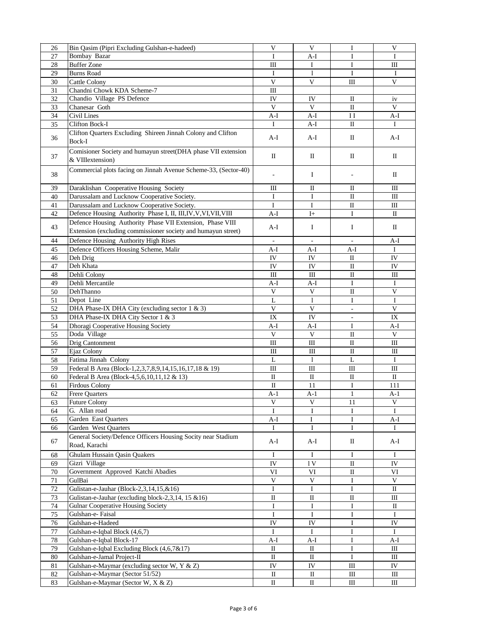| 26 | Bin Qasim (Pipri Excluding Gulshan-e-hadeed)                                      | $\ensuremath{\mathsf{V}}$ | V                           | I                        | $\mathbf V$  |
|----|-----------------------------------------------------------------------------------|---------------------------|-----------------------------|--------------------------|--------------|
| 27 | <b>Bombay Bazar</b>                                                               | I                         | A-I                         | I                        | $\mathbf I$  |
| 28 | <b>Buffer Zone</b>                                                                | $\rm III$                 | $\bf{I}$                    | $\rm I$                  | Ш            |
| 29 | <b>Burns Road</b>                                                                 | $\bf{I}$                  | 1                           | I                        | I            |
|    |                                                                                   | V                         |                             |                          |              |
| 30 | Cattle Colony                                                                     |                           | V                           | Ш                        | V            |
| 31 | Chandni Chowk KDA Scheme-7                                                        | Ш                         |                             |                          |              |
| 32 | Chandio Village PS Defence                                                        | IV                        | IV                          | П                        | iv           |
| 33 | Chanesar Goth                                                                     | V                         | V                           | $\mathbf{I}$             | V            |
| 34 | Civil Lines                                                                       | $A-I$                     | $A-I$                       | $\mathbf{I}$             | $A-I$        |
| 35 | <b>Clifton Bock-I</b>                                                             | П                         | A-I                         | П                        | <b>I</b>     |
|    | Clifton Quarters Excluding Shireen Jinnah Colony and Clifton                      |                           |                             |                          |              |
| 36 | Bock-I                                                                            | A-I                       | A-I                         | Π                        | A-I          |
| 37 | Comisioner Society and humayun street(DHA phase VII extension<br>& VIIIextension) | $\mathbf{I}$              | П                           | П                        | П            |
| 38 | Commercial plots facing on Jinnah Avenue Scheme-33, (Sector-40)                   | $\overline{\phantom{a}}$  | <b>I</b>                    | $\overline{a}$           | П            |
| 39 | Daraklishan Cooperative Housing Society                                           | Ш                         | П                           | П                        | Ш            |
| 40 | Darussalam and Lucknow Cooperative Society.                                       | Ι                         | I                           | П                        | $\mathbf{I}$ |
|    |                                                                                   |                           |                             |                          |              |
| 41 | Darussalam and Lucknow Cooperative Society.                                       | $\bf{I}$                  | I                           | $\rm II$                 | Ш            |
| 42 | Defence Housing Authority Phase I, II, III, IV, V, VI, VII, VIII                  | A-I                       | $I+$                        | $\mathbf I$              | $\mathbf{I}$ |
| 43 | Defence Housing Authority Phase VII Extension, Phase VIII                         | A-I                       | I                           | I                        | П            |
|    | Extension (excluding commissioner society and humayun street)                     |                           |                             |                          |              |
| 44 | Defence Housing Authority High Rises                                              | $\overline{\phantom{a}}$  | $\overline{\phantom{a}}$    | $\mathbf{r}$             | A-I          |
| 45 | Defence Officers Housing Scheme, Malir                                            | $A-I$                     | A-I                         | $A-I$                    | $\bf{I}$     |
| 46 | Deh Drig                                                                          | ${\rm IV}$                | IV                          | П                        | IV           |
| 47 | Deh Khata                                                                         | IV                        | IV                          | $\rm II$                 | IV           |
|    |                                                                                   |                           |                             |                          |              |
| 48 | Dehli Colony                                                                      | III                       | $\rm III$                   | $\rm II$                 | Ш            |
| 49 | Dehli Mercantile                                                                  | $A-I$                     | $A-I$                       | I                        | $\bf{I}$     |
| 50 | DehThanno                                                                         | V                         | V                           | $\rm II$                 | V            |
| 51 | Depot Line                                                                        | L                         | 1                           | I                        | $\mathbf I$  |
| 52 | DHA Phase-IX DHA City (excluding sector 1 & 3)                                    | $\mathbf{V}$              | V                           | $\overline{\phantom{a}}$ | V            |
| 53 | DHA Phase-IX DHA City Sector 1 & 3                                                | IX                        | IV                          | $\overline{\phantom{a}}$ | IX           |
| 54 | <b>Dhoragi Cooperative Housing Society</b>                                        | $A-I$                     | A-I                         | I                        | A-I          |
|    |                                                                                   |                           |                             |                          |              |
| 55 | Doda Village                                                                      | $\mathbf{V}$              | V                           | П                        | V            |
| 56 | Drig Cantonment                                                                   | $\mathbf{I}$              | $\mathop{\rm III}\nolimits$ | $\rm II$                 | $\rm III$    |
| 57 | Ejaz Colony                                                                       | Ш                         | Ш                           | $\rm II$                 | Ш            |
| 58 | Fatima Jinnah Colony                                                              | $\mathbf L$               | $\mathbf{1}$                | $\mathbf L$              | $\mathbf I$  |
| 59 | Federal B Area (Block-1,2,3,7,8,9,14,15,16,17,18 & 19)                            | $\rm III$                 | Ш                           | Ш                        | Ш            |
| 60 | Federal B Area (Block-4,5,6,10,11,12 & 13)                                        | $\rm II$                  | П                           | П                        | П            |
| 61 | Firdous Colony                                                                    | $\mathbf{I}$              | 11                          | I                        | 111          |
|    |                                                                                   |                           |                             |                          |              |
| 62 | <b>Frere Quarters</b>                                                             | $A-1$                     | $A-1$                       | $\mathbf{1}$             | $A-1$        |
| 63 | <b>Future Colony</b>                                                              | V                         | V                           | 11                       | V            |
| 64 | G. Allan road                                                                     | I                         | $\bf I$                     | I                        | $\mathbf I$  |
| 65 | Garden East Quarters                                                              | $A-I$                     | I                           | I                        | A-I          |
| 66 | Garden West Quarters                                                              | $\mathbf I$               | $\mathbf I$                 | $\mathbf I$              | Ι.           |
| 67 | General Society/Defence Officers Housing Socity near Stadium<br>Road, Karachi     | $A-I$                     | A-I                         | П                        | A-I          |
| 68 | Ghulam Hussain Qasin Quakers                                                      | Ι.                        | Ι                           | I                        | 1            |
| 69 | Gizri Village                                                                     | ${\rm IV}$                | 1V                          | $\rm II$                 | IV           |
|    |                                                                                   |                           |                             |                          |              |
| 70 | Government Approved Katchi Abadies                                                | VI                        | VI                          | $\rm II$                 | VI           |
| 71 | GulBai                                                                            | $\mathbf V$               | $\mathbf V$                 | I                        | $\mathbf{V}$ |
| 72 | Gulistan-e-Jauhar (Block-2,3,14,15,&16)                                           | $\mathbf I$               | I                           | I                        | П            |
| 73 | Gulistan-e-Jauhar (excluding block-2,3,14, 15 & 16)                               | П                         | П                           | П                        | Ш            |
| 74 | <b>Gulnar Cooperative Housing Society</b>                                         | I                         | I                           | I                        | $\rm II$     |
| 75 | Gulshan-e- Faisal                                                                 | $\mathbf I$               | I                           | I                        | $\mathbf I$  |
| 76 | Gulshan-e-Hadeed                                                                  | ${\rm IV}$                | IV                          | I                        | IV           |
|    |                                                                                   |                           |                             |                          |              |
| 77 | Gulshan-e-Iqbal Block (4,6,7)                                                     | Ι                         | Ι.                          | Ι                        | Ι.           |
| 78 | Gulshan-e-Iqbal Block-17                                                          | $A-I$                     | A-I                         | I                        | A-I          |
| 79 | Gulshan-e-Iqbal Excluding Block (4,6,7&17)                                        | П                         | П                           | $\bf I$                  | Ш            |
| 80 | Gulshan-e-Jamal Project-II                                                        | $\rm II$                  | $\rm II$                    | $\rm I$                  | $\rm III$    |
| 81 | Gulshan-e-Maymar (excluding sector W, Y & Z)                                      | IV                        | IV                          | Ш                        | IV           |
| 82 | Gulshan-e-Maymar (Sector 51/52)                                                   | П                         | П                           | $\rm III$                | Ш            |
|    |                                                                                   |                           |                             |                          |              |
| 83 | Gulshan-e-Maymar (Sector W, X & Z)                                                | П                         | П                           | Ш                        | Ш            |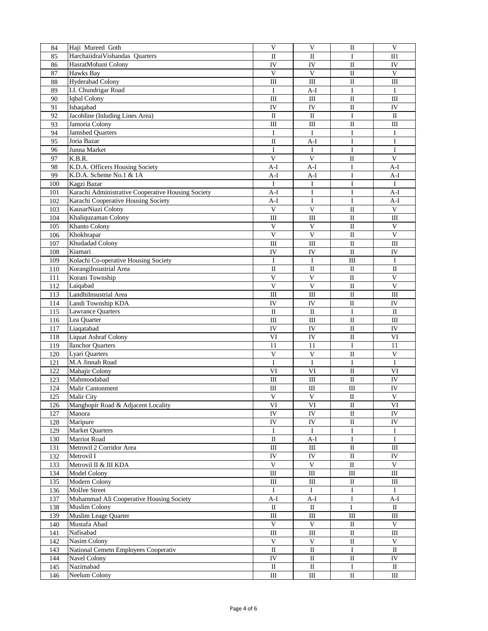| 84  | Haji Mureed Goth                                   | V                         | V                                | П                      | V               |
|-----|----------------------------------------------------|---------------------------|----------------------------------|------------------------|-----------------|
| 85  | Harchaiidrai Vishandas Quarters                    | П                         | П                                | I                      | $_{\rm II1}$    |
| 86  | HasratMohani Colony                                | IV                        | IV                               | $\mathbf I$            | IV              |
| 87  | Hawks Bay                                          | V                         | $\mathbf{V}$                     | $\rm II$               | $\mathbf{V}$    |
| 88  | <b>Hyderabad Colony</b>                            | III                       | III                              | $\rm II$               | $\rm III$       |
| 89  | I.I. Chundrigar Road                               | Ι                         | A-I                              | $\bf I$                | Ι               |
| 90  | Iqbal Colony                                       | $\rm III$                 | $\rm III$                        | $\rm II$               | $\rm III$       |
|     | Ishaqabad                                          |                           |                                  |                        |                 |
| 91  |                                                    | IV                        | IV                               | $\mathbf{I}$           | IV              |
| 92  | Jacobline (Inluding Lines Area)                    | $\mathbf{I}$              | П                                | I                      | $\rm II$        |
| 93  | Jamoria Colony                                     | III                       | Ш                                | $\mathbf I$            | $\rm III$       |
| 94  | <b>Jamshed Quarters</b>                            | I                         | $\bf{I}$                         | $\bf I$                | I               |
| 95  | Joria Bazar                                        | $\rm II$                  | $A-I$                            | $\bf I$                | $\mathbf I$     |
| 96  | Junna Market                                       | $\bf I$                   | I                                | $\bf I$                | $\mathbf I$     |
| 97  | K.B.R.                                             | $\overline{\mathsf{V}}$   | $\mathbf{V}$                     | $\rm II$               | $\mathbf{V}$    |
| 98  | K.D.A. Officers Housing Society                    | $A-I$                     | A-I                              | $\bf I$                | A-I             |
| 99  | K.D.A. Scheme No.1 & 1A                            | $A-I$                     | $A-I$                            | $\bf I$                | $A-I$           |
| 100 | Kagzi Bazar                                        | I                         | I                                | $\bf I$                | I               |
| 101 | Karachi Administrative Cooperative Housing Society | $A-I$                     | I                                | I                      | $A-I$           |
| 102 | Karachi Cooperative Housing Society                | A-I                       | I                                | I                      | A-I             |
|     | KausarNiazi Colony                                 | $\ensuremath{\mathsf{V}}$ | $\mathbf{V}$                     | $\mathbf{I}\mathbf{I}$ | V               |
| 103 |                                                    |                           |                                  |                        |                 |
| 104 | Khaliquzaman Colony                                | $\rm III$                 | III                              | $\rm II$               | $\rm III$       |
| 105 | Khanto Colony                                      | $\ensuremath{\mathsf{V}}$ | $\mathbf{V}$                     | $\rm II$               | $\mathbf{V}$    |
| 106 | Khokhrapar                                         | $\overline{\mathsf{V}}$   | $\bar{V}$                        | $\rm II$               | $\mathbf V$     |
| 107 | Khudadad Colony                                    | III                       | Ш                                | $\rm II$               | $\rm III$       |
| 108 | Kiamari                                            | IV                        | IV                               | $\rm II$               | IV              |
| 109 | Kolachi Co-operative Housing Society               | $\mathbf I$               | $\mathbf I$                      | Ш                      | $\bf{I}$        |
| 110 | KorangiInsustrial Area                             | $\rm II$                  | $\mathbf I$                      | $\rm II$               | $\rm II$        |
| 111 | Korani Township                                    | $\ensuremath{\mathsf{V}}$ | $\ensuremath{\mathsf{V}}$        | $\rm II$               | $\mathbf{V}$    |
| 112 | Laiqabad                                           | V                         | $\mathbf{V}$                     | $\rm II$               | $\mathbf{V}$    |
| 113 | LandhiInsustrial Area                              | $\rm III$                 | $\mathop{\mathrm{III}}\nolimits$ | $\rm II$               | $\rm III$       |
| 114 | Landi Township KDA                                 | IV                        | IV                               | $\rm II$               | IV              |
| 115 | <b>Lawrance Quarters</b>                           | $\mathbf{I}$              | $\rm II$                         | $\bf I$                | $\mathbf{I}$    |
| 116 | Lea Quarter                                        | Ш                         | Ш                                | П                      | Ш               |
| 117 | Liaqatabad                                         | IV                        | IV                               | $\mathbf I$            | IV              |
| 118 | <b>Liquat Ashraf Colony</b>                        | VI                        | IV                               | $\mathbf I$            | VI              |
| 119 | <b>Ilanchor</b> Quarters                           | 11                        | 11                               | $\bf I$                | 11              |
| 120 | Lyari Quarters                                     | $\ensuremath{\mathsf{V}}$ | $\ensuremath{\mathsf{V}}$        | $\mathbf I$            | $\mathbf V$     |
| 121 | M.A Jinnah Road                                    | I                         | $\bf{I}$                         | $\bf{I}$               | Ι               |
| 122 | Mahajir Colony                                     | VI                        | VI                               | $\rm II$               | VI              |
|     |                                                    |                           |                                  |                        | $\overline{IV}$ |
| 123 | Mahmoodabad                                        | $\rm III$                 | $\rm III$                        | $\rm II$               |                 |
| 124 | Malir Cantonment                                   | III                       | III                              | III                    | IV              |
| 125 | <b>Malir City</b>                                  | $\ensuremath{\mathsf{V}}$ | V                                | $\rm II$               | $\mathbf V$     |
| 126 | Manghopir Road & Adjacent Locality                 | VI                        | VI                               | $\rm II$               | VI              |
| 127 | Manora                                             | IV                        | IV                               | $\mathbf{I}$           | IV              |
| 128 | Maripure                                           | ${\rm IV}$                | ${\rm IV}$                       | $\rm II$               | ${\rm IV}$      |
| 129 | Market Quarters                                    | $\mathbf I$               | $\bf I$                          | $\bf I$                | $\bf{I}$        |
| 130 | Marriot Road                                       | $\rm II$                  | $A-I$                            | $\bf I$                | $\bf{I}$        |
| 131 | Metrovil 2 Corridor Area                           | $\rm III$                 | $\rm III$                        | $\rm II$               | $\rm III$       |
| 132 | Metrovil I                                         | ${\rm IV}$                | IV                               | $\rm II$               | IV              |
| 133 | Metrovil II & III KDA                              | $\mathbf V$               | $\mathbf V$                      | $\rm II$               | $\mathbf V$     |
| 134 | Model Colony                                       | $\rm III$                 | $\rm III$                        | $\rm III$              | $\rm III$       |
| 135 | Modern Colony                                      | $\rm III$                 | Ш                                | П                      | $\rm III$       |
| 136 | MolJee Street                                      | $\mathbf I$               | $\mathbf I$                      | $\bf I$                | $\bf I$         |
| 137 | Muhammad Ali Cooperative Housing Society           | $A-I$                     | $A-I$                            | $\bf I$                | $A-I$           |
| 138 | <b>Muslim Colony</b>                               | $\mathbf{I}$              | $\rm II$                         | I                      | $\mathbf I$     |
| 139 | Muslim Leage Quarter                               | $\rm III$                 | $\rm III$                        | $\rm III$              | $\rm III$       |
| 140 | Mustafa Abad                                       | $\mathbf V$               | $\mathbf V$                      | $\rm II$               | $\mathbf V$     |
| 141 | Nafisabad                                          | $\rm III$                 | III                              | $\rm II$               | $\rm III$       |
| 142 | Nasim Colony                                       | $\mathbf V$               | $\mathbf V$                      | $\rm II$               | $\mathbf V$     |
|     |                                                    |                           |                                  |                        |                 |
| 143 | National Cemetn Employees Cooperativ               | $\rm II$                  | $\rm II$                         | $\bf{I}$               | $\rm II$        |
| 144 | Navel Colony                                       | ${\rm IV}$                | $\rm II$                         | $\rm II$               | IV              |
| 145 | Nazimabad                                          | $\rm II$                  | $\rm II$                         | $\rm I$                | $\rm II$        |
| 146 | Neelum Colony                                      | $\rm III$                 | $\rm III$                        | $\rm II$               | $\rm III$       |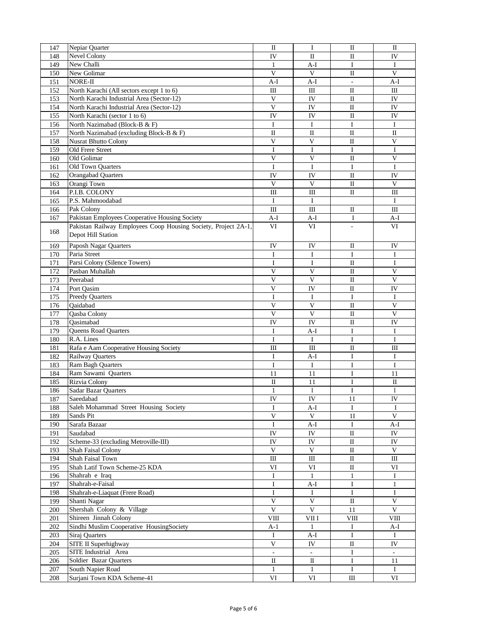| 147 | Nepiar Quarter                                                 | $\mathbf{I}$              | $\bf{I}$                         | $\mathbf I$              | $\mathbf{I}$            |
|-----|----------------------------------------------------------------|---------------------------|----------------------------------|--------------------------|-------------------------|
| 148 | Nevel Colony                                                   | IV                        | $\rm II$                         | $\rm II$                 | IV                      |
|     |                                                                |                           |                                  |                          |                         |
| 149 | New Challi                                                     | $\mathbf{1}$              | $A-I$                            | $\mathbf I$              | $\mathbf I$             |
| 150 | New Golimar                                                    | $\ensuremath{\mathsf{V}}$ | $\mathbf{V}$                     | $\rm II$                 | $\mathbf{V}$            |
| 151 | NORE-II                                                        | $A-I$                     | $A-I$                            | $\overline{\phantom{a}}$ | A-I                     |
| 152 | North Karachi (All sectors except 1 to 6)                      | $\rm III$                 | III                              | $\mathbf{I}$             | $\rm III$               |
| 153 | North Karachi Industrial Area (Sector-12)                      | V                         | IV                               | $\mathbf{I}$             | IV                      |
| 154 | North Karachi Industrial Area (Sector-12)                      | $\overline{\mathbf{V}}$   | IV                               | $\rm II$                 | IV                      |
| 155 | North Karachi (sector 1 to 6)                                  | IV                        | IV                               | $\rm II$                 | IV                      |
|     | North Nazimabad (Block-B & F)                                  |                           |                                  |                          |                         |
| 156 |                                                                | Ι                         | Ι                                | $\bf{I}$                 | Ι                       |
| 157 | North Nazimabad (excluding Block-B & F)                        | $\rm II$                  | $\rm II$                         | $\rm II$                 | $\rm II$                |
| 158 | <b>Nusrat Bhutto Colony</b>                                    | $\overline{\mathsf{V}}$   | $\bar{V}$                        | $\mathbf{I}$             | $\bar{V}$               |
| 159 | Old Frere Street                                               | $\mathbf I$               | $\bf{I}$                         | $\bf{I}$                 | I                       |
| 160 | Old Golimar                                                    | $\mathbf V$               | $\mathbf{V}$                     | $\rm II$                 | V                       |
| 161 | Old Town Quarters                                              | $\mathbf I$               | $\mathbf I$                      | $\mathbf I$              | $\mathbf I$             |
| 162 | <b>Orangabad Quarters</b>                                      | IV                        | IV                               | $\rm II$                 | IV                      |
| 163 | Orangi Town                                                    | $\mathbf{V}$              | $\mathbf{V}$                     | $\mathbf I$              | V                       |
|     | P.I.B. COLONY                                                  |                           |                                  |                          |                         |
| 164 |                                                                | Ш                         | III                              | $\rm II$                 | Ш                       |
| 165 | P.S. Mahmoodabad                                               | Ι                         | Ι.                               |                          | $\bf{I}$                |
| 166 | Pak Colony                                                     | Ш                         | $\mathop{\mathrm{III}}\nolimits$ | $\rm II$                 | $\rm III$               |
| 167 | Pakistan Employees Cooperative Housing Society                 | $A-I$                     | A-I                              | I                        | A-I                     |
|     | Pakistan Railway Employees Coop Housing Society, Project 2A-1, | VI                        | VI                               | $\overline{\phantom{a}}$ | VI                      |
| 168 | Depot Hill Station                                             |                           |                                  |                          |                         |
|     |                                                                |                           |                                  |                          |                         |
| 169 | Paposh Nagar Quarters                                          | IV                        | IV                               | $\mathbf I$              | IV                      |
| 170 | Paria Street                                                   | $\bf{I}$                  | I                                | I                        | Ι                       |
| 171 | Parsi Colony (Silence Towers)                                  | Ι                         | Ι                                | П                        | 1                       |
| 172 | Pasban Muhallah                                                | $\overline{\mathsf{V}}$   | $\mathbf V$                      | $\mathbf{I}$             | $\mathbf V$             |
| 173 | Peerabad                                                       | $\overline{\mathbf{V}}$   | $\overline{\mathsf{V}}$          | $\mathbf{I}$             | $\overline{\mathsf{V}}$ |
| 174 | Port Qasim                                                     | $\mathbf V$               | IV                               | $\rm II$                 | IV                      |
|     | <b>Preedy Quarters</b>                                         | 1                         | Ι.                               | Ι                        | П                       |
| 175 |                                                                |                           |                                  |                          |                         |
| 176 | Qaidabad                                                       | $\overline{\mathbf{V}}$   | $\mathbf V$                      | $\rm II$                 | $\mathbf V$             |
| 177 | Qasba Colony                                                   | $\overline{\mathbf{V}}$   | $\overline{\mathsf{V}}$          | $\mathbf{I}$             | $\overline{\mathbf{V}}$ |
| 178 | Qasimabad                                                      | IV                        | IV                               | $\rm II$                 | IV                      |
| 179 | Queens Road Quarters                                           | $\bf{I}$                  | $A-I$                            | I                        | Ι                       |
| 180 | R.A. Lines                                                     | $\bf{I}$                  | $\mathbf I$                      | $\rm I$                  | Ι                       |
| 181 | Rafa e Aam Cooperative Housing Society                         | $\rm III$                 | $\rm III$                        | $\rm II$                 | $\rm III$               |
| 182 | <b>Railway Quarters</b>                                        | I                         | A-I                              | I                        | I                       |
|     | Ram Bagh Quarters                                              | $\mathbf I$               | $\mathbf I$                      | I                        | I                       |
| 183 |                                                                |                           |                                  |                          |                         |
| 184 | Ram Sawami Quarters                                            | 11                        | 11                               | I                        | 11                      |
| 185 | Rizvia Colony                                                  | $\rm II$                  | 11                               | $\bf{I}$                 | $\rm II$                |
| 186 | Sadar Bazar Quarters                                           | $\mathbf{1}$              | $\mathbf{l}$                     | I                        |                         |
| 187 | Saeedabad                                                      | $\overline{IV}$           | IV                               | 11                       | $\overline{IV}$         |
| 188 | Saleh Mohammad Street Housing Society                          | $\mathbf I$               | A-I                              | $\bf{I}$                 | $\bf{I}$                |
| 189 | Sands Pit                                                      | V                         | V                                | 11                       | V                       |
| 190 | Sarafa Bazaar                                                  | I                         | A-I                              | Ι                        | $A-I$                   |
| 191 | Saudabad                                                       | IV                        | IV                               | $\rm II$                 | ${\rm IV}$              |
|     |                                                                |                           |                                  |                          |                         |
| 192 | Scheme-33 (excluding Metroville-III)                           | ${\rm IV}$                | ${\rm IV}$                       | $\rm II$                 | IV                      |
| 193 | Shah Faisal Colony                                             | V                         | V                                | $\rm II$                 | V                       |
| 194 | Shah Faisal Town                                               | Ш                         | Ш                                | $\rm II$                 | Ш                       |
| 195 | Shah Latif Town Scheme-25 KDA                                  | VI                        | VI                               | $\rm II$                 | VI                      |
| 196 | Shahrah e Iraq                                                 | $\mathbf I$               | $\mathbf{1}$                     | $\mathbf{1}$             | $\bf{I}$                |
| 197 | Shahrah-e-Faisal                                               | $\mathbf I$               | $A-I$                            | $\bf{I}$                 | $\mathbf{1}$            |
| 198 | Shahrah-e-Liaquat (Frere Road)                                 | I                         | Ι.                               | Ι                        | I                       |
| 199 | Shanti Nagar                                                   | $\mathbf{V}$              | V                                | П                        | $\overline{V}$          |
|     | Shershah Colony & Village                                      | V                         | V                                |                          | V                       |
| 200 |                                                                |                           |                                  | 11                       |                         |
| 201 | Shireen Jinnah Colony                                          | VIII                      | VII I                            | ${\rm VIII}$             | VIII                    |
| 202 | Sindhi Muslim Cooperative HousingSociety                       | A-1                       | $\mathbf{1}$                     | Ι                        | A-I                     |
| 203 | Siraj Quarters                                                 | Ι.                        | A-I                              | I                        | Ι.                      |
| 204 | SITE II Superhighway                                           | $\mathbf{V}$              | IV                               | П                        | IV                      |
| 205 | SITE Industrial Area                                           |                           |                                  | $\mathbf I$              |                         |
| 206 | Soldier Bazar Quarters                                         | П                         | $\mathbf{I}$                     | $\bf{I}$                 | 11                      |
| 207 | South Napier Road                                              | 1                         | 1                                | Ι.                       | Ι.                      |
|     |                                                                |                           |                                  |                          |                         |
| 208 | Surjani Town KDA Scheme-41                                     | VI                        | VI                               | Ш                        | VI                      |